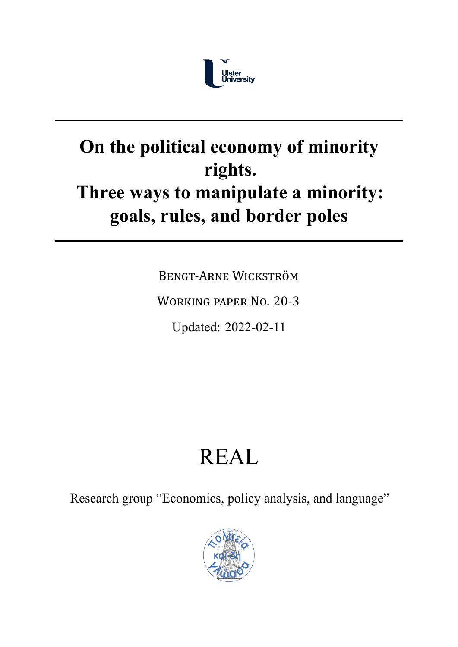

# **On the political economy of minority rights. Three ways to manipulate a minority: goals, rules, and border poles**

BENGT‐ARNE WICKSTRÖM

WORKING PAPER NO. 20‐3

Updated: 2022-02-11

# REAL

Research group "Economics, policy analysis, and language"

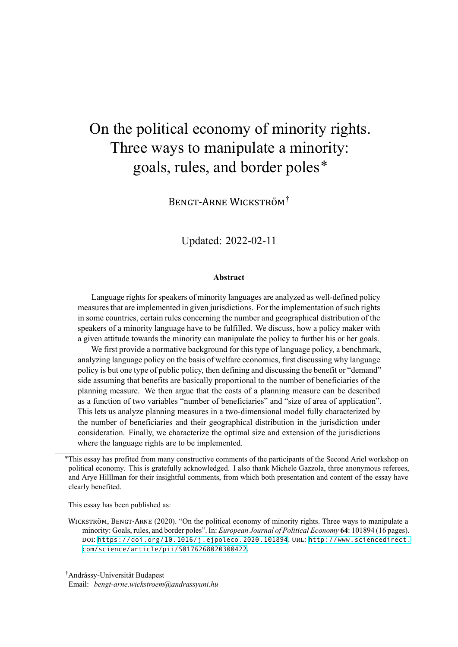# On the political economy of minority rights. Three ways to manipulate a minority: goals, rules, and border poles\*

BENGT‐ARNE WICKSTRÖM†

Updated: 2022-02-11

#### **Abstract**

Language rights for speakers of minority languages are analyzed as well-defined policy measures that are implemented in given jurisdictions. For the implementation of such rights in some countries, certain rules concerning the number and geographical distribution of the speakers of a minority language have to be fulfilled. We discuss, how a policy maker with a given attitude towards the minority can manipulate the policy to further his or her goals.

We first provide a normative background for this type of language policy, a benchmark, analyzing language policy on the basis of welfare economics, first discussing why language policy is but one type of public policy, then defining and discussing the benefit or "demand" side assuming that benefits are basically proportional to the number of beneficiaries of the planning measure. We then argue that the costs of a planning measure can be described as a function of two variables "number of beneficiaries" and "size of area of application". This lets us analyze planning measures in a two-dimensional model fully characterized by the number of beneficiaries and their geographical distribution in the jurisdiction under consideration. Finally, we characterize the optimal size and extension of the jurisdictions where the language rights are to be implemented.

This essay has been published as:

WICKSTRÖM, BENGT‐ARNE (2020). "On the political economy of minority rights. Three ways to manipulate a minority: Goals, rules, and border poles". In: *European Journal of Political Economy* **64**: 101894 (16 pages). DOI: [https://doi.org/10.1016/j.ejpoleco.2020.101894](https://doi.org/https://doi.org/10.1016/j.ejpoleco.2020.101894). URL: [http://www.sciencedirect.](http://www.sciencedirect.com/science/article/pii/S0176268020300422) [com/science/article/pii/S0176268020300422](http://www.sciencedirect.com/science/article/pii/S0176268020300422).

† Andrássy-Universität Budapest

Email: *[bengt-arne.wickstroem@andrassyuni.hu](mailto:bengt-arne.wickstroem@andrassyuni.hu)*

<sup>\*</sup>This essay has profited from many constructive comments of the participants of the Second Ariel workshop on political economy. This is gratefully acknowledged. I also thank Michele Gazzola, three anonymous referees, and Arye Hilllman for their insightful comments, from which both presentation and content of the essay have clearly benefited.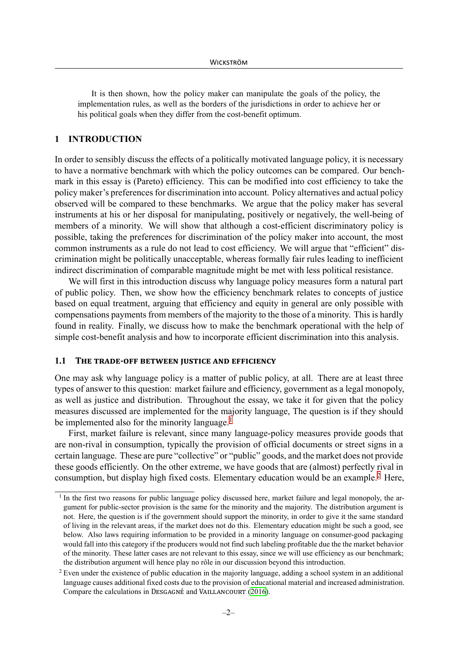It is then shown, how the policy maker can manipulate the goals of the policy, the implementation rules, as well as the borders of the jurisdictions in order to achieve her or his political goals when they differ from the cost-benefit optimum.

# **1 INTRODUCTION**

In order to sensibly discuss the effects of a politically motivated language policy, it is necessary to have a normative benchmark with which the policy outcomes can be compared. Our benchmark in this essay is (Pareto) efficiency. This can be modified into cost efficiency to take the policy maker's preferences for discrimination into account. Policy alternatives and actual policy observed will be compared to these benchmarks. We argue that the policy maker has several instruments at his or her disposal for manipulating, positively or negatively, the well-being of members of a minority. We will show that although a cost-efficient discriminatory policy is possible, taking the preferences for discrimination of the policy maker into account, the most common instruments as a rule do not lead to cost efficiency. We will argue that "efficient" discrimination might be politically unacceptable, whereas formally fair rules leading to inefficient indirect discrimination of comparable magnitude might be met with less political resistance.

We will first in this introduction discuss why language policy measures form a natural part of public policy. Then, we show how the efficiency benchmark relates to concepts of justice based on equal treatment, arguing that efficiency and equity in general are only possible with compensations payments from members of the majority to the those of a minority. This is hardly found in reality. Finally, we discuss how to make the benchmark operational with the help of simple cost-benefit analysis and how to incorporate efficient discrimination into this analysis.

#### **1.1 THE TRADE‐OFF BETWEEN JUSTICE AND EFFICIENCY**

One may ask why language policy is a matter of public policy, at all. There are at least three types of answer to this question: market failure and efficiency, government as a legal monopoly, as well as justice and distribution. Throughout the essay, we take it for given that the policy measures discussed are implemented for the majority language, The question is if they should be implemented also for the minority language.<sup>[1](#page-2-0)</sup>

First, market failure is relevant, since many language-policy measures provide goods that are non-rival in consumption, typically the provision of official documents or street signs in a certain language. These are pure "collective" or "public" goods, and the market does not provide these goods efficiently. On the other extreme, we have goods that are (almost) perfectly rival in consumption, but display high fixed costs. Elementary education would be an example[.2](#page-2-1) Here,

<span id="page-2-0"></span> $1$  In the first two reasons for public language policy discussed here, market failure and legal monopoly, the argument for public-sector provision is the same for the minority and the majority. The distribution argument is not. Here, the question is if the government should support the minority, in order to give it the same standard of living in the relevant areas, if the market does not do this. Elementary education might be such a good, see below. Also laws requiring information to be provided in a minority language on consumer-good packaging would fall into this category if the producers would not find such labeling profitable due the the market behavior of the minority. These latter cases are not relevant to this essay, since we will use efficiency as our benchmark; the distribution argument will hence play no rôle in our discussion beyond this introduction.

<span id="page-2-1"></span><sup>&</sup>lt;sup>2</sup> Even under the existence of public education in the majority language, adding a school system in an additional language causes additional fixed costs due to the provision of educational material and increased administration. Compare the calculations in DESGAGNÉ and VAILLANCOURT ([2016\)](#page-24-0).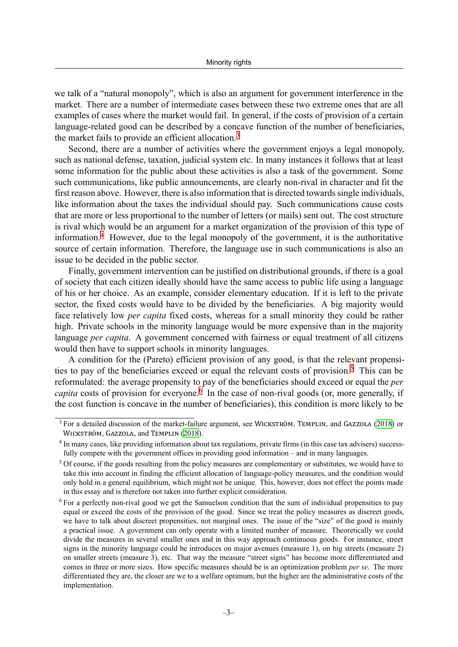we talk of a "natural monopoly", which is also an argument for government interference in the market. There are a number of intermediate cases between these two extreme ones that are all examples of cases where the market would fail. In general, if the costs of provision of a certain language-related good can be described by a concave function of the number of beneficiaries, the market fails to provide an efficient allocation.<sup>3</sup>

Second, there are a number of activities where the government enjoys a legal monopoly, such as national defense, taxation, judicial system etc. In many instances it follows that at least some information for the public about these activities is also a task of the government. Some such communications, like public announcements, are clearly non-rival in character and fit the first reason above. However, there is also information that is directed towards single individuals, like information about the taxes the individual should pay. Such communications cause costs that are more or less proportional to the number of letters (or mails) sent out. The cost structure is rival which would be an argument for a market organization of the provision of this type of information.[4](#page-3-1) However, due to the legal monopoly of the government, it is the authoritative source of certain information. Therefore, the language use in such communications is also an issue to be decided in the public sector.

Finally, government intervention can be justified on distributional grounds, if there is a goal of society that each citizen ideally should have the same access to public life using a language of his or her choice. As an example, consider elementary education. If it is left to the private sector, the fixed costs would have to be divided by the beneficiaries. A big majority would face relatively low *per capita* fixed costs, whereas for a small minority they could be rather high. Private schools in the minority language would be more expensive than in the majority language *per capita*. A government concerned with fairness or equal treatment of all citizens would then have to support schools in minority languages.

A condition for the (Pareto) efficient provision of any good, is that the relevant propensities to pay of the beneficiaries exceed or equal the relevant costs of provision.<sup>5</sup> This can be reformulated: the average propensity to pay of the beneficiaries should exceed or equal the *per capita* costs of provision for everyone.<sup>[6](#page-3-3)</sup> In the case of non-rival goods (or, more generally, if the cost function is concave in the number of beneficiaries), this condition is more likely to be

<span id="page-3-0"></span><sup>&</sup>lt;sup>3</sup> For a detailed discussion of the market-failure argument, see WICKSTRÖM, TEMPLIN, and GAZZOLA ([2018\)](#page-26-0) or WICKSTRÖM, GAZZOLA, and TEMPLIN ([2018](#page-26-1)).

<span id="page-3-1"></span><sup>&</sup>lt;sup>4</sup> In many cases, like providing information about tax regulations, private firms (in this case tax advisers) successfully compete with the government offices in providing good information – and in many languages.

<span id="page-3-2"></span><sup>&</sup>lt;sup>5</sup> Of course, if the goods resulting from the policy measures are complementary or substitutes, we would have to take this into account in finding the efficient allocation of language-policy measures, and the condition would only hold in a general equilibrium, which might not be unique. This, however, does not effect the points made in this essay and is therefore not taken into further explicit consideration.

<span id="page-3-3"></span> $6$  For a perfectly non-rival good we get the Samuelson condition that the sum of individual propensities to pay equal or exceed the costs of the provision of the good. Since we treat the policy measures as discreet goods, we have to talk about discreet propensities, not marginal ones. The issue of the "size" of the good is mainly a practical issue. A government can only operate with a limited number of measure. Theoretically we could divide the measures in several smaller ones and in this way approach continuous goods. For instance, street signs in the minority language could be introduces on major avenues (measure 1), on big streets (measure 2) on smaller streets (measure 3), etc. That way the measure "street signs" has become more differentiated and comes in three or more sizes. How specific measures should be is an optimization problem *per se*. The more differentiated they are, the closer are we to a welfare optimum, but the higher are the administrative costs of the implementation.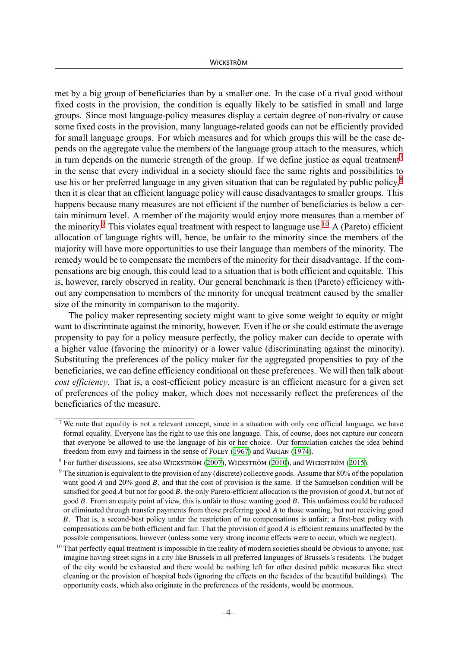met by a big group of beneficiaries than by a smaller one. In the case of a rival good without fixed costs in the provision, the condition is equally likely to be satisfied in small and large groups. Since most language-policy measures display a certain degree of non-rivalry or cause some fixed costs in the provision, many language-related goods can not be efficiently provided for small language groups. For which measures and for which groups this will be the case depends on the aggregate value the members of the language group attach to the measures, which in turn depends on the numeric strength of the group. If we define justice as equal treatment<sup>7</sup> in the sense that every individual in a society should face the same rights and possibilities to use his or her preferred language in any given situation that can be regulated by public policy,<sup>8</sup> then it is clear that an efficient language policy will cause disadvantages to smaller groups. This happens because many measures are not efficient if the number of beneficiaries is below a certain minimum level. A member of the majority would enjoy more measures than a member of the minority.<sup>[9](#page-4-2)</sup> This violates equal treatment with respect to language use.<sup>[10](#page-4-3)</sup> A (Pareto) efficient allocation of language rights will, hence, be unfair to the minority since the members of the majority will have more opportunities to use their language than members of the minority. The remedy would be to compensate the members of the minority for their disadvantage. If the compensations are big enough, this could lead to a situation that is both efficient and equitable. This is, however, rarely observed in reality. Our general benchmark is then (Pareto) efficiency without any compensation to members of the minority for unequal treatment caused by the smaller size of the minority in comparison to the majority.

The policy maker representing society might want to give some weight to equity or might want to discriminate against the minority, however. Even if he or she could estimate the average propensity to pay for a policy measure perfectly, the policy maker can decide to operate with a higher value (favoring the minority) or a lower value (discriminating against the minority). Substituting the preferences of the policy maker for the aggregated propensities to pay of the beneficiaries, we can define efficiency conditional on these preferences. We will then talk about *cost efficiency*. That is, a cost-efficient policy measure is an efficient measure for a given set of preferences of the policy maker, which does not necessarily reflect the preferences of the beneficiaries of the measure.

<span id="page-4-0"></span><sup>&</sup>lt;sup>7</sup> We note that equality is not a relevant concept, since in a situation with only one official language, we have formal equality. Everyone has the right to use this one language. This, of course, does not capture our concern that everyone be allowed to use the language of his or her choice. Our formulation catches the idea behind freedom from envy and fairness in the sense of FOLEY [\(1967](#page-24-1)) and VARIAN [\(1974\)](#page-26-2).

<span id="page-4-1"></span><sup>8</sup> For further discussions, see also WICKSTRÖM ([2007](#page-26-3)), WICKSTRÖM ([2010\)](#page-26-4), and WICKSTRÖM ([2015\)](#page-26-5).

<span id="page-4-2"></span> $9$  The situation is equivalent to the provision of any (discrete) collective goods. Assume that 80% of the population want good  $A$  and 20% good  $B$ , and that the cost of provision is the same. If the Samuelson condition will be satisfied for good A but not for good B, the only Pareto-efficient allocation is the provision of good A, but not of good  $B$ . From an equity point of view, this is unfair to those wanting good  $B$ . This unfairness could be reduced or eliminated through transfer payments from those preferring good  $\vec{A}$  to those wanting, but not receiving good . That is, a second-best policy under the restriction of no compensations is unfair; a first-best policy with compensations can be both efficient and fair. That the provision of good  $A$  is efficient remains unaffected by the possible compensations, however (unless some very strong income effects were to occur, which we neglect).

<span id="page-4-3"></span> $10$  That perfectly equal treatment is impossible in the reality of modern societies should be obvious to anyone; just imagine having street signs in a city like Brussels in all preferred languages of Brussels's residents. The budget of the city would be exhausted and there would be nothing left for other desired public measures like street cleaning or the provision of hospital beds (ignoring the effects on the facades of the beautiful buildings). The opportunity costs, which also originate in the preferences of the residents, would be enormous.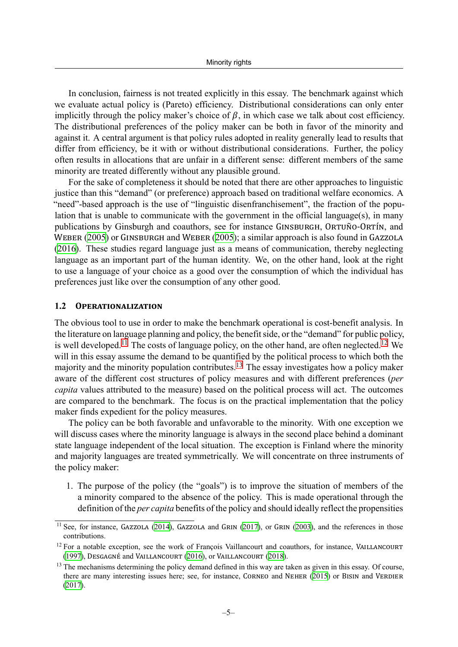In conclusion, fairness is not treated explicitly in this essay. The benchmark against which we evaluate actual policy is (Pareto) efficiency. Distributional considerations can only enter implicitly through the policy maker's choice of  $\beta$ , in which case we talk about cost efficiency. The distributional preferences of the policy maker can be both in favor of the minority and against it. A central argument is that policy rules adopted in reality generally lead to results that differ from efficiency, be it with or without distributional considerations. Further, the policy often results in allocations that are unfair in a different sense: different members of the same minority are treated differently without any plausible ground.

For the sake of completeness it should be noted that there are other approaches to linguistic justice than this "demand" (or preference) approach based on traditional welfare economics. A "need"-based approach is the use of "linguistic disenfranchisement", the fraction of the population that is unable to communicate with the government in the official language(s), in many publications by Ginsburgh and coauthors, see for instance GINSBURGH, ORTUÑO‐ORTÍN, and WEBER ([2005\)](#page-24-2) or GINSBURGH and WEBER ([2005\)](#page-25-0); a similar approach is also found in GAZZOLA ([2016\)](#page-24-3). These studies regard language just as a means of communication, thereby neglecting language as an important part of the human identity. We, on the other hand, look at the right to use a language of your choice as a good over the consumption of which the individual has preferences just like over the consumption of any other good.

#### **1.2 OPERATIONALIZATION**

The obvious tool to use in order to make the benchmark operational is cost-benefit analysis. In the literature on language planning and policy, the benefitside, or the "demand" for public policy, is well developed.<sup>[11](#page-5-0)</sup> The costs of language policy, on the other hand, are often neglected.<sup>12</sup> We will in this essay assume the demand to be quantified by the political process to which both the majority and the minority population contributes.[13](#page-5-2) The essay investigates how a policy maker aware of the different cost structures of policy measures and with different preferences (*per capita* values attributed to the measure) based on the political process will act. The outcomes are compared to the benchmark. The focus is on the practical implementation that the policy maker finds expedient for the policy measures.

The policy can be both favorable and unfavorable to the minority. With one exception we will discuss cases where the minority language is always in the second place behind a dominant state language independent of the local situation. The exception is Finland where the minority and majority languages are treated symmetrically. We will concentrate on three instruments of the policy maker:

1. The purpose of the policy (the "goals") is to improve the situation of members of the a minority compared to the absence of the policy. This is made operational through the definition of the *per capita* benefits of the policy and should ideally reflect the propensities

<span id="page-5-0"></span> $11$  See, for instance, GAZZOLA ([2014\)](#page-24-4), GAZZOLA and GRIN ([2017](#page-24-5)), or GRIN [\(2003](#page-25-1)), and the references in those contributions.

<span id="page-5-1"></span><sup>&</sup>lt;sup>12</sup> For a notable exception, see the work of François Vaillancourt and coauthors, for instance, VAILLANCOURT [\(1997](#page-26-6)), DESGAGNÉ and VAILLANCOURT [\(2016](#page-24-0)), or VAILLANCOURT ([2018\)](#page-26-7).

<span id="page-5-2"></span><sup>&</sup>lt;sup>13</sup> The mechanisms determining the policy demand defined in this way are taken as given in this essay. Of course, there are many interesting issues here; see, for instance, CORNEO and NEHER [\(2015](#page-24-6)) or BISIN and VERDIER [\(2017](#page-23-0)).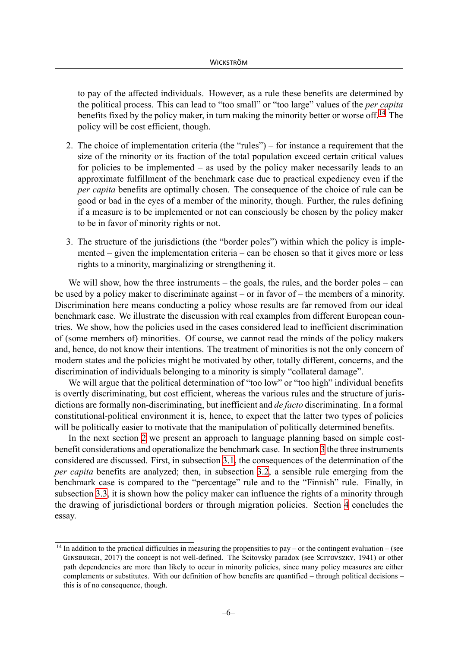to pay of the affected individuals. However, as a rule these benefits are determined by the political process. This can lead to "too small" or "too large" values of the *per capita* benefits fixed by the policy maker, in turn making the minority better or worse off[.14](#page-6-0) The policy will be cost efficient, though.

- 2. The choice of implementation criteria (the "rules") for instance a requirement that the size of the minority or its fraction of the total population exceed certain critical values for policies to be implemented – as used by the policy maker necessarily leads to an approximate fulfillment of the benchmark case due to practical expediency even if the *per capita* benefits are optimally chosen. The consequence of the choice of rule can be good or bad in the eyes of a member of the minority, though. Further, the rules defining if a measure is to be implemented or not can consciously be chosen by the policy maker to be in favor of minority rights or not.
- 3. The structure of the jurisdictions (the "border poles") within which the policy is implemented – given the implementation criteria – can be chosen so that it gives more or less rights to a minority, marginalizing or strengthening it.

We will show, how the three instruments – the goals, the rules, and the border poles – can be used by a policy maker to discriminate against – or in favor of – the members of a minority. Discrimination here means conducting a policy whose results are far removed from our ideal benchmark case. We illustrate the discussion with real examples from different European countries. We show, how the policies used in the cases considered lead to inefficient discrimination of (some members of) minorities. Of course, we cannot read the minds of the policy makers and, hence, do not know their intentions. The treatment of minorities is not the only concern of modern states and the policies might be motivated by other, totally different, concerns, and the discrimination of individuals belonging to a minority is simply "collateral damage".

We will argue that the political determination of "too low" or "too high" individual benefits is overtly discriminating, but cost efficient, whereas the various rules and the structure of jurisdictions are formally non-discriminating, but inefficient and *de facto* discriminating. In a formal constitutional-political environment it is, hence, to expect that the latter two types of policies will be politically easier to motivate that the manipulation of politically determined benefits.

In the next section [2](#page-7-0) we present an approach to language planning based on simple costbenefit considerations and operationalize the benchmark case. In section [3](#page-10-0) the three instruments considered are discussed. First, in subsection [3.1,](#page-10-1) the consequences of the determination of the *per capita* benefits are analyzed; then, in subsection [3.2](#page-11-0), a sensible rule emerging from the benchmark case is compared to the "percentage" rule and to the "Finnish" rule. Finally, in subsection [3.3,](#page-17-0) it is shown how the policy maker can influence the rights of a minority through the drawing of jurisdictional borders or through migration policies. Section [4](#page-23-1) concludes the essay.

<span id="page-6-0"></span> $14$  In addition to the practical difficulties in measuring the propensities to pay – or the contingent evaluation – (see GINSBURGH, 2017) the concept is not well-defined. The Scitovsky paradox (see SCITOVSZKY, 1941) or other path dependencies are more than likely to occur in minority policies, since many policy measures are either complements or substitutes. With our definition of how benefits are quantified – through political decisions – this is of no consequence, though.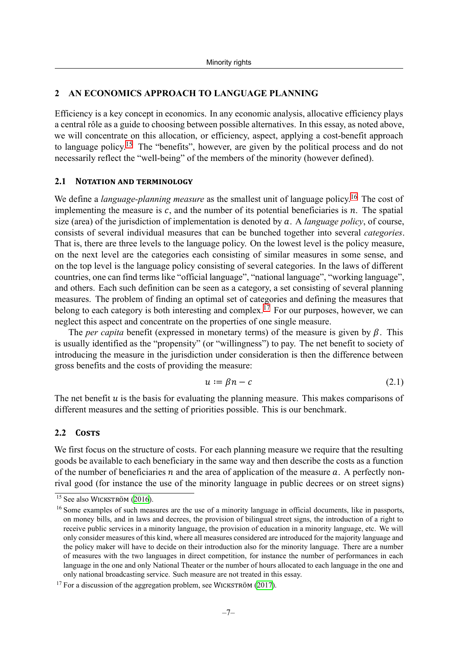#### <span id="page-7-0"></span>**2 AN ECONOMICS APPROACH TO LANGUAGE PLANNING**

Efficiency is a key concept in economics. In any economic analysis, allocative efficiency plays a central rôle as a guide to choosing between possible alternatives. In this essay, as noted above, we will concentrate on this allocation, or efficiency, aspect, applying a cost-benefit approach to language policy.[15](#page-7-1) The "benefits", however, are given by the political process and do not necessarily reflect the "well-being" of the members of the minority (however defined).

#### **2.1 NOTATION AND TERMINOLOGY**

We define a *language-planning measure* as the smallest unit of language policy.<sup>[16](#page-7-2)</sup> The cost of implementing the measure is  $c$ , and the number of its potential beneficiaries is  $n$ . The spatial size (area) of the jurisdiction of implementation is denoted by . A *language policy*, of course, consists of several individual measures that can be bunched together into several *categories*. That is, there are three levels to the language policy. On the lowest level is the policy measure, on the next level are the categories each consisting of similar measures in some sense, and on the top level is the language policy consisting of several categories. In the laws of different countries, one can find terms like "official language", "national language", "working language", and others. Each such definition can be seen as a category, a set consisting of several planning measures. The problem of finding an optimal set of categories and defining the measures that belong to each category is both interesting and complex.<sup>17</sup> For our purposes, however, we can neglect this aspect and concentrate on the properties of one single measure.

The *per capita* benefit (expressed in monetary terms) of the measure is given by  $\beta$ . This is usually identified as the "propensity" (or "willingness") to pay. The net benefit to society of introducing the measure in the jurisdiction under consideration is then the difference between gross benefits and the costs of providing the measure:

$$
u := \beta n - c \tag{2.1}
$$

The net benefit  $u$  is the basis for evaluating the planning measure. This makes comparisons of different measures and the setting of priorities possible. This is our benchmark.

# **2.2 COSTS**

We first focus on the structure of costs. For each planning measure we require that the resulting goods be available to each beneficiary in the same way and then describe the costs as a function of the number of beneficiaries  $n$  and the area of application of the measure  $a$ . A perfectly nonrival good (for instance the use of the minority language in public decrees or on street signs)

<span id="page-7-1"></span><sup>15</sup> See also WICKSTRÖM ([2016\)](#page-26-8).

<span id="page-7-2"></span><sup>&</sup>lt;sup>16</sup> Some examples of such measures are the use of a minority language in official documents, like in passports, on money bills, and in laws and decrees, the provision of bilingual street signs, the introduction of a right to receive public services in a minority language, the provision of education in a minority language, etc. We will only consider measures of this kind, where all measures considered are introduced for the majority language and the policy maker will have to decide on their introduction also for the minority language. There are a number of measures with the two languages in direct competition, for instance the number of performances in each language in the one and only National Theater or the number of hours allocated to each language in the one and only national broadcasting service. Such measure are not treated in this essay.

<span id="page-7-3"></span> $17$  For a discussion of the aggregation problem, see WICKSTRÖM [\(2017](#page-26-9)).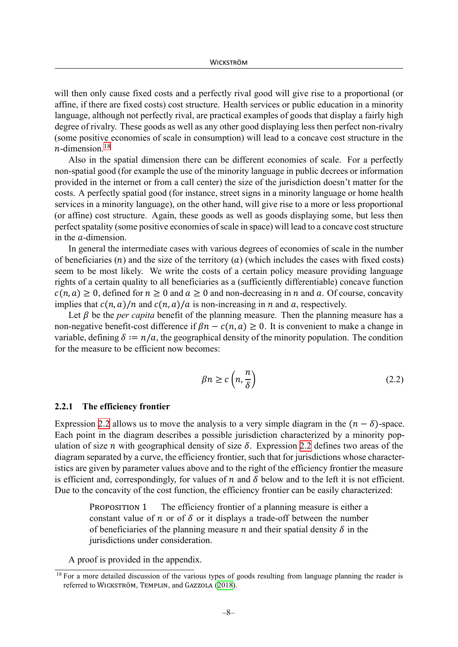will then only cause fixed costs and a perfectly rival good will give rise to a proportional (or affine, if there are fixed costs) cost structure. Health services or public education in a minority language, although not perfectly rival, are practical examples of goods that display a fairly high degree of rivalry. These goods as well as any other good displaying less then perfect non-rivalry (some positive economies of scale in consumption) will lead to a concave cost structure in the  $n$ -dimension.<sup>18</sup>

Also in the spatial dimension there can be different economies of scale. For a perfectly non-spatial good (for example the use of the minority language in public decrees or information provided in the internet or from a call center) the size of the jurisdiction doesn't matter for the costs. A perfectly spatial good (for instance, street signs in a minority language or home health services in a minority language), on the other hand, will give rise to a more or less proportional (or affine) cost structure. Again, these goods as well as goods displaying some, but less then perfect spatality (some positive economies of scale in space) will lead to a concave cost structure in the  $a$ -dimension.

In general the intermediate cases with various degrees of economies of scale in the number of beneficiaries (*n*) and the size of the territory (*a*) (which includes the cases with fixed costs) seem to be most likely. We write the costs of a certain policy measure providing language rights of a certain quality to all beneficiaries as a (sufficiently differentiable) concave function  $c(n, a) \ge 0$ , defined for  $n \ge 0$  and  $a \ge 0$  and non-decreasing in n and a. Of course, concavity implies that  $c(n, a)/n$  and  $c(n, a)/a$  is non-increasing in n and a, respectively.

Let  $\beta$  be the *per capita* benefit of the planning measure. Then the planning measure has a non-negative benefit-cost difference if  $\beta n - c(n, a) \ge 0$ . It is convenient to make a change in variable, defining  $\delta := n/a$ , the geographical density of the minority population. The condition for the measure to be efficient now becomes:

<span id="page-8-1"></span>
$$
\beta n \ge c \left( n, \frac{n}{\delta} \right) \tag{2.2}
$$

#### **2.2.1 The efficiency frontier**

Expression [2.2](#page-8-1) allows us to move the analysis to a very simple diagram in the  $(n - \delta)$ -space. Each point in the diagram describes a possible jurisdiction characterized by a minority population of size *n* with geographical density of size  $\delta$ . Expression [2.2](#page-8-1) defines two areas of the diagram separated by a curve, the efficiency frontier, such that for jurisdictions whose characteristics are given by parameter values above and to the right of the efficiency frontier the measure is efficient and, correspondingly, for values of  $n$  and  $\delta$  below and to the left it is not efficient. Due to the concavity of the cost function, the efficiency frontier can be easily characterized:

<span id="page-8-2"></span>PROPOSITION 1 The efficiency frontier of a planning measure is either a constant value of  $n$  or of  $\delta$  or it displays a trade-off between the number of beneficiaries of the planning measure *n* and their spatial density  $\delta$  in the jurisdictions under consideration.

A proof is provided in the appendix.

<span id="page-8-0"></span> $18$  For a more detailed discussion of the various types of goods resulting from language planning the reader is referred to WICKSTRÖM, TEMPLIN, and GAZZOLA ([2018\)](#page-26-0).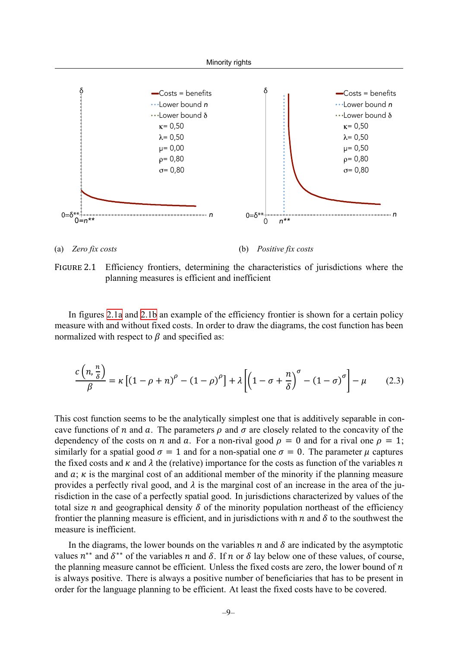<span id="page-9-0"></span>

(a) *Zero fix costs* (b) *Positive fix costs*

FIGURE 2.1 Efficiency frontiers, determining the characteristics of jurisdictions where the planning measures is efficient and inefficient

In figures [2.1a](#page-9-0) and [2.1b](#page-9-0) an example of the efficiency frontier is shown for a certain policy measure with and without fixed costs. In order to draw the diagrams, the cost function has been normalized with respect to  $\beta$  and specified as:

$$
\frac{c\left(n,\frac{n}{\delta}\right)}{\beta} = \kappa \left[ \left(1-\rho+n\right)^{\rho} - \left(1-\rho\right)^{\rho} \right] + \lambda \left[ \left(1-\sigma+\frac{n}{\delta}\right)^{\sigma} - \left(1-\sigma\right)^{\sigma} \right] - \mu \tag{2.3}
$$

This cost function seems to be the analytically simplest one that is additively separable in concave functions of *n* and *a*. The parameters  $\rho$  and  $\sigma$  are closely related to the concavity of the dependency of the costs on *n* and *a*. For a non-rival good  $\rho = 0$  and for a rival one  $\rho = 1$ ; similarly for a spatial good  $\sigma = 1$  and for a non-spatial one  $\sigma = 0$ . The parameter  $\mu$  captures the fixed costs and  $\kappa$  and  $\lambda$  the (relative) importance for the costs as function of the variables n and  $a$ ;  $\kappa$  is the marginal cost of an additional member of the minority if the planning measure provides a perfectly rival good, and  $\lambda$  is the marginal cost of an increase in the area of the jurisdiction in the case of a perfectly spatial good. In jurisdictions characterized by values of the total size *n* and geographical density  $\delta$  of the minority population northeast of the efficiency frontier the planning measure is efficient, and in jurisdictions with  $n$  and  $\delta$  to the southwest the measure is inefficient.

In the diagrams, the lower bounds on the variables  $n$  and  $\delta$  are indicated by the asymptotic values  $n^{**}$  and  $\delta^{**}$  of the variables n and  $\delta$ . If n or  $\delta$  lay below one of these values, of course, the planning measure cannot be efficient. Unless the fixed costs are zero, the lower bound of  $n$ is always positive. There is always a positive number of beneficiaries that has to be present in order for the language planning to be efficient. At least the fixed costs have to be covered.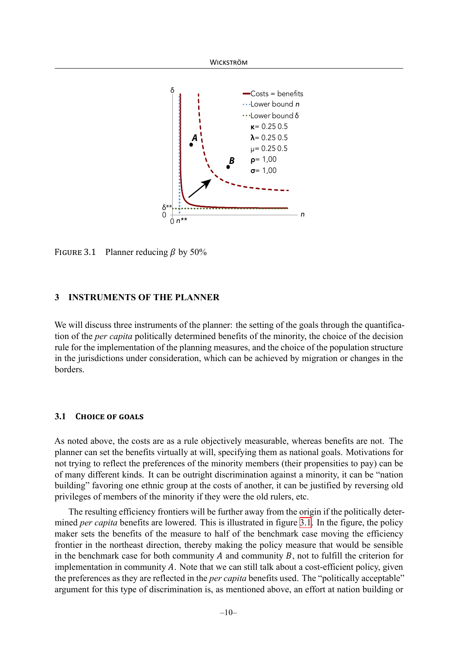<span id="page-10-2"></span>

FIGURE 3.1 Planner reducing  $\beta$  by 50%

# <span id="page-10-0"></span>**3 INSTRUMENTS OF THE PLANNER**

We will discuss three instruments of the planner: the setting of the goals through the quantification of the *per capita* politically determined benefits of the minority, the choice of the decision rule for the implementation of the planning measures, and the choice of the population structure in the jurisdictions under consideration, which can be achieved by migration or changes in the borders.

# <span id="page-10-1"></span>**3.1 CHOICE OF GOALS**

As noted above, the costs are as a rule objectively measurable, whereas benefits are not. The planner can set the benefits virtually at will, specifying them as national goals. Motivations for not trying to reflect the preferences of the minority members (their propensities to pay) can be of many different kinds. It can be outright discrimination against a minority, it can be "nation building" favoring one ethnic group at the costs of another, it can be justified by reversing old privileges of members of the minority if they were the old rulers, etc.

The resulting efficiency frontiers will be further away from the origin if the politically determined *per capita* benefits are lowered. This is illustrated in figure [3.1.](#page-10-2) In the figure, the policy maker sets the benefits of the measure to half of the benchmark case moving the efficiency frontier in the northeast direction, thereby making the policy measure that would be sensible in the benchmark case for both community  $A$  and community  $B$ , not to fulfill the criterion for implementation in community  $A$ . Note that we can still talk about a cost-efficient policy, given the preferences as they are reflected in the *per capita* benefits used. The "politically acceptable" argument for this type of discrimination is, as mentioned above, an effort at nation building or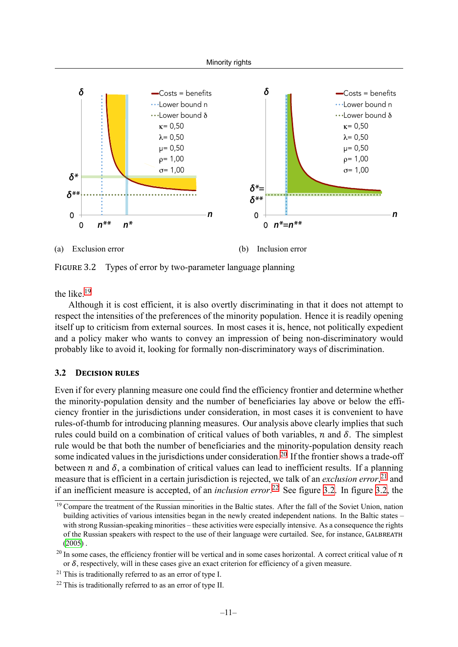<span id="page-11-5"></span>

FIGURE 3.2 Types of error by two-parameter language planning

the like.<sup>[19](#page-11-1)</sup>

Although it is cost efficient, it is also overtly discriminating in that it does not attempt to respect the intensities of the preferences of the minority population. Hence it is readily opening itself up to criticism from external sources. In most cases it is, hence, not politically expedient and a policy maker who wants to convey an impression of being non-discriminatory would probably like to avoid it, looking for formally non-discriminatory ways of discrimination.

# <span id="page-11-0"></span>**3.2 DECISION RULES**

Even if for every planning measure one could find the efficiency frontier and determine whether the minority-population density and the number of beneficiaries lay above or below the efficiency frontier in the jurisdictions under consideration, in most cases it is convenient to have rules-of-thumb for introducing planning measures. Our analysis above clearly implies that such rules could build on a combination of critical values of both variables,  $n$  and  $\delta$ . The simplest rule would be that both the number of beneficiaries and the minority-population density reach some indicated values in the jurisdictions under consideration.<sup>20</sup> If the frontier shows a trade-off between  $n$  and  $\delta$ , a combination of critical values can lead to inefficient results. If a planning measure that is efficient in a certain jurisdiction is rejected, we talk of an *exclusion error*, [21](#page-11-3) and if an inefficient measure is accepted, of an *inclusion error*. [22](#page-11-4) See figure [3.2](#page-11-5). In figure [3.2](#page-11-5), the

<span id="page-11-1"></span><sup>&</sup>lt;sup>19</sup> Compare the treatment of the Russian minorities in the Baltic states. After the fall of the Soviet Union, nation building activities of various intensities began in the newly created independent nations. In the Baltic states – with strong Russian-speaking minorities – these activities were especially intensive. As a consequence the rights of the Russian speakers with respect to the use of their language were curtailed. See, for instance, GALBREATH  $(2005)$  $(2005)$ .

<span id="page-11-2"></span><sup>&</sup>lt;sup>20</sup> In some cases, the efficiency frontier will be vertical and in some cases horizontal. A correct critical value of  $n$ or  $\delta$ , respectively, will in these cases give an exact criterion for efficiency of a given measure.

<span id="page-11-3"></span> $21$  This is traditionally referred to as an error of type I.

<span id="page-11-4"></span> $22$  This is traditionally referred to as an error of type II.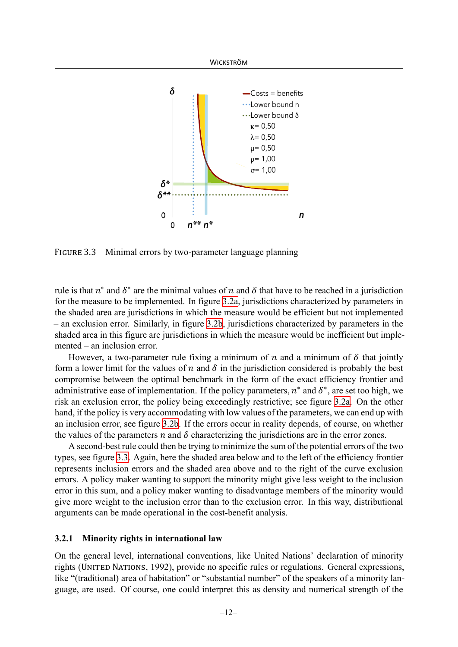<span id="page-12-0"></span>

FIGURE 3.3 Minimal errors by two-parameter language planning

rule is that  $n^*$  and  $\delta^*$  are the minimal values of n and  $\delta$  that have to be reached in a jurisdiction for the measure to be implemented. In figure [3.2a,](#page-11-5) jurisdictions characterized by parameters in the shaded area are jurisdictions in which the measure would be efficient but not implemented – an exclusion error. Similarly, in figure [3.2b,](#page-11-5) jurisdictions characterized by parameters in the shaded area in this figure are jurisdictions in which the measure would be inefficient but implemented – an inclusion error.

However, a two-parameter rule fixing a minimum of  $n$  and a minimum of  $\delta$  that jointly form a lower limit for the values of  $n$  and  $\delta$  in the jurisdiction considered is probably the best compromise between the optimal benchmark in the form of the exact efficiency frontier and administrative ease of implementation. If the policy parameters,  $n^*$  and  $\delta^*$ , are set too high, we risk an exclusion error, the policy being exceedingly restrictive; see figure [3.2a.](#page-11-5) On the other hand, if the policy is very accommodating with low values of the parameters, we can end up with an inclusion error, see figure [3.2b](#page-11-5). If the errors occur in reality depends, of course, on whether the values of the parameters  $n$  and  $\delta$  characterizing the jurisdictions are in the error zones.

A second-best rule could then be trying to minimize the sum of the potential errors of the two types, see figure [3.3.](#page-12-0) Again, here the shaded area below and to the left of the efficiency frontier represents inclusion errors and the shaded area above and to the right of the curve exclusion errors. A policy maker wanting to support the minority might give less weight to the inclusion error in this sum, and a policy maker wanting to disadvantage members of the minority would give more weight to the inclusion error than to the exclusion error. In this way, distributional arguments can be made operational in the cost-benefit analysis.

#### **3.2.1 Minority rights in international law**

On the general level, international conventions, like United Nations' declaration of minority rights (UNITED NATIONS, 1992), provide no specific rules or regulations. General expressions, like "(traditional) area of habitation" or "substantial number" of the speakers of a minority language, are used. Of course, one could interpret this as density and numerical strength of the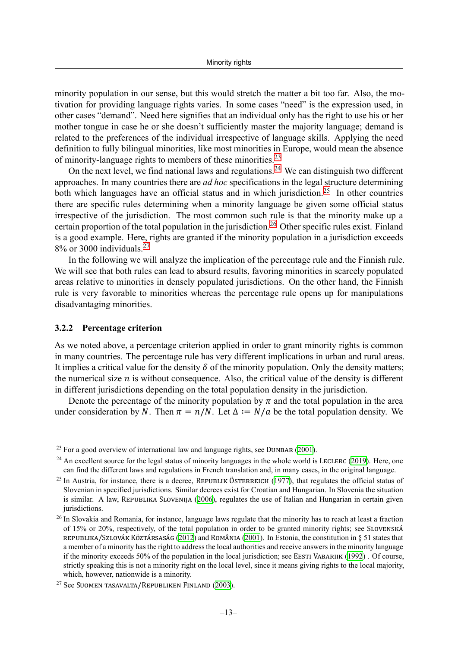minority population in our sense, but this would stretch the matter a bit too far. Also, the motivation for providing language rights varies. In some cases "need" is the expression used, in other cases "demand". Need here signifies that an individual only has the right to use his or her mother tongue in case he or she doesn't sufficiently master the majority language; demand is related to the preferences of the individual irrespective of language skills. Applying the need definition to fully bilingual minorities, like most minorities in Europe, would mean the absence of minority-language rights to members of these minorities.[23](#page-13-0)

On the next level, we find national laws and regulations.<sup>[24](#page-13-1)</sup> We can distinguish two different approaches. In many countries there are *ad hoc* specifications in the legal structure determining both which languages have an official status and in which jurisdiction.<sup>25</sup> In other countries there are specific rules determining when a minority language be given some official status irrespective of the jurisdiction. The most common such rule is that the minority make up a certain proportion of the total population in the jurisdiction.<sup>[26](#page-13-3)</sup> Other specific rules exist. Finland is a good example. Here, rights are granted if the minority population in a jurisdiction exceeds  $8\%$  or 3000 individuals.<sup>27</sup>

In the following we will analyze the implication of the percentage rule and the Finnish rule. We will see that both rules can lead to absurd results, favoring minorities in scarcely populated areas relative to minorities in densely populated jurisdictions. On the other hand, the Finnish rule is very favorable to minorities whereas the percentage rule opens up for manipulations disadvantaging minorities.

#### **3.2.2 Percentage criterion**

As we noted above, a percentage criterion applied in order to grant minority rights is common in many countries. The percentage rule has very different implications in urban and rural areas. It implies a critical value for the density  $\delta$  of the minority population. Only the density matters; the numerical size  $n$  is without consequence. Also, the critical value of the density is different in different jurisdictions depending on the total population density in the jurisdiction.

Denote the percentage of the minority population by  $\pi$  and the total population in the area under consideration by N. Then  $\pi = n/N$ . Let  $\Delta := N/a$  be the total population density. We

<span id="page-13-0"></span> $\frac{23}{23}$  For a good overview of international law and language rights, see DUNBAR ([2001\)](#page-24-8).

<span id="page-13-1"></span> $^{24}$  An excellent source for the legal status of minority languages in the whole world is LECLERC [\(2019](#page-25-2)). Here, one can find the different laws and regulations in French translation and, in many cases, in the original language.

<span id="page-13-2"></span><sup>&</sup>lt;sup>25</sup> In Austria, for instance, there is a decree, REPUBLIK ÖSTERREICH [\(1977](#page-25-3)), that regulates the official status of Slovenian in specified jurisdictions. Similar decrees exist for Croatian and Hungarian. In Slovenia the situation is similar. A law, REPUBLIKA SLOVENIJA [\(2006](#page-25-4)), regulates the use of Italian and Hungarian in certain given jurisdictions.

<span id="page-13-3"></span><sup>&</sup>lt;sup>26</sup> In Slovakia and Romania, for instance, language laws regulate that the minority has to reach at least a fraction of 15% or 20%, respectively, of the total population in order to be granted minority rights; see SLOVENSKÁ REPUBLIKA/SZLOVÁK KÖZTÁRSASÁG [\(2012](#page-25-5)) and ROMÂNIA [\(2001](#page-25-6)). In Estonia, the constitution in § 51 states that a member of a minority has the right to address the local authorities and receive answers in the minority language if the minority exceeds 50% of the population in the local jurisdiction; see EESTI VABARIIK ([1992\)](#page-24-9) . Of course, strictly speaking this is not a minority right on the local level, since it means giving rights to the local majority, which, however, nationwide is a minority.

<span id="page-13-4"></span><sup>27</sup> See SUOMEN TASAVALTA/REPUBLIKEN FINLAND ([2003\)](#page-25-7).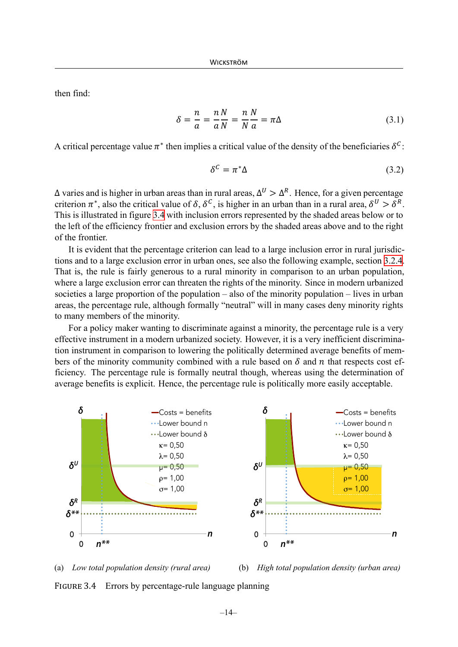then find:

$$
\delta = \frac{n}{a} = \frac{n}{a} \frac{N}{N} = \frac{n}{N} \frac{N}{a} = \pi \Delta \tag{3.1}
$$

A critical percentage value  $\pi^*$  then implies a critical value of the density of the beneficiaries  $\delta^c$ :

$$
\delta^{\mathcal{C}} = \pi^* \Delta \tag{3.2}
$$

 $\Delta$  varies and is higher in urban areas than in rural areas,  $\Delta^U > \Delta^R$ . Hence, for a given percentage criterion  $\pi^*$ , also the critical value of  $\delta$ ,  $\delta^c$ , is higher in an urban than in a rural area,  $\delta^U > \delta^R$ . This is illustrated in figure [3.4](#page-14-0) with inclusion errors represented by the shaded areas below or to the left of the efficiency frontier and exclusion errors by the shaded areas above and to the right of the frontier.

It is evident that the percentage criterion can lead to a large inclusion error in rural jurisdictions and to a large exclusion error in urban ones, see also the following example, section [3.2.4](#page-16-0). That is, the rule is fairly generous to a rural minority in comparison to an urban population, where a large exclusion error can threaten the rights of the minority. Since in modern urbanized societies a large proportion of the population – also of the minority population – lives in urban areas, the percentage rule, although formally "neutral" will in many cases deny minority rights to many members of the minority.

For a policy maker wanting to discriminate against a minority, the percentage rule is a very effective instrument in a modern urbanized society. However, it is a very inefficient discrimination instrument in comparison to lowering the politically determined average benefits of members of the minority community combined with a rule based on  $\delta$  and  $n$  that respects cost efficiency. The percentage rule is formally neutral though, whereas using the determination of average benefits is explicit. Hence, the percentage rule is politically more easily acceptable.

<span id="page-14-0"></span>



FIGURE 3.4 Errors by percentage-rule language planning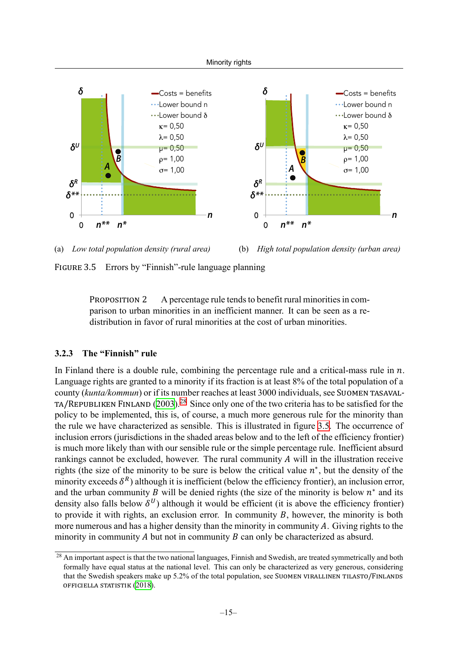<span id="page-15-1"></span>

(a) *Low total population density (rural area)* (b) *High total population density (urban area)*

FIGURE 3.5 Errors by "Finnish"-rule language planning

PROPOSITION 2 A percentage rule tends to benefit rural minorities in comparison to urban minorities in an inefficient manner. It can be seen as a redistribution in favor of rural minorities at the cost of urban minorities.

# **3.2.3 The "Finnish" rule**

In Finland there is a double rule, combining the percentage rule and a critical-mass rule in  $n$ . Language rights are granted to a minority if its fraction is at least 8% of the total population of a county (*kunta/kommun*) or if its number reaches at least 3000 individuals, see SUOMEN TASAVAL‐ TA/REPUBLIKEN FINLAND  $(2003)$ <sup>[28](#page-15-0)</sup> Since only one of the two criteria has to be satisfied for the policy to be implemented, this is, of course, a much more generous rule for the minority than the rule we have characterized as sensible. This is illustrated in figure [3.5](#page-15-1). The occurrence of inclusion errors (jurisdictions in the shaded areas below and to the left of the efficiency frontier) is much more likely than with our sensible rule or the simple percentage rule. Inefficient absurd rankings cannot be excluded, however. The rural community  $A$  will in the illustration receive rights (the size of the minority to be sure is below the critical value  $n^*$ , but the density of the minority exceeds  $\delta^R$ ) although it is inefficient (below the efficiency frontier), an inclusion error, and the urban community *B* will be denied rights (the size of the minority is below  $n^*$  and its density also falls below  $\delta^{U}$ ) although it would be efficient (it is above the efficiency frontier) to provide it with rights, an exclusion error. In community  $B$ , however, the minority is both more numerous and has a higher density than the minority in community  $A$ . Giving rights to the minority in community  $A$  but not in community  $B$  can only be characterized as absurd.

<span id="page-15-0"></span><sup>&</sup>lt;sup>28</sup> An important aspect is that the two national languages, Finnish and Swedish, are treated symmetrically and both formally have equal status at the national level. This can only be characterized as very generous, considering that the Swedish speakers make up 5.2% of the total population, see SUOMEN VIRALLINEN TILASTO/FINLANDS OFFICIELLA STATISTIK [\(2018](#page-26-10)).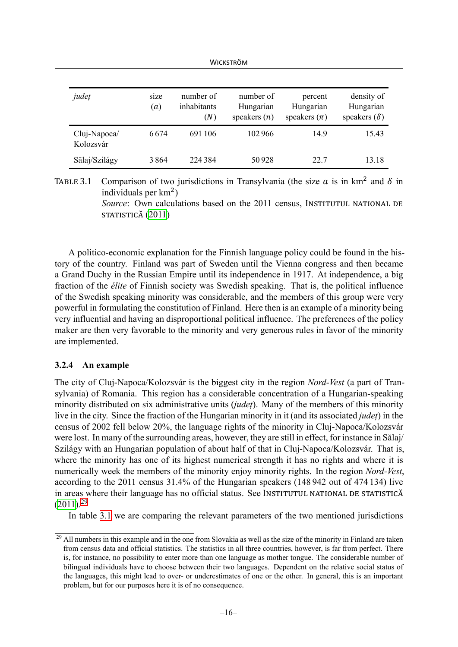WICKSTRÖM

<span id="page-16-2"></span>

| județ                     | size<br>(a) | number of<br>inhabitants<br>(N) | number of<br>Hungarian<br>speakers $(n)$ | percent<br>Hungarian<br>speakers $(\pi)$ | density of<br>Hungarian<br>speakers $(\delta)$ |
|---------------------------|-------------|---------------------------------|------------------------------------------|------------------------------------------|------------------------------------------------|
| Cluj-Napoca/<br>Kolozsvár | 6674        | 691 106                         | 102966                                   | 149                                      | 15.43                                          |
| Sălaj/Szilágy             | 3864        | 224 384                         | 50928                                    | 22.7                                     | 13.18                                          |

TABLE 3.1 Comparison of two jurisdictions in Transylvania (the size  $\alpha$  is in km<sup>2</sup> and  $\delta$  in individuals per  $km^2$ )

> *Source*: Own calculations based on the 2011 census, INSTITUTUL NATIONAL DE STATISTICĂ [\(2011\)](#page-25-8)

A politico-economic explanation for the Finnish language policy could be found in the history of the country. Finland was part of Sweden until the Vienna congress and then became a Grand Duchy in the Russian Empire until its independence in 1917. At independence, a big fraction of the *élite* of Finnish society was Swedish speaking. That is, the political influence of the Swedish speaking minority was considerable, and the members of this group were very powerful in formulating the constitution of Finland. Here then is an example of a minority being very influential and having an disproportional political influence. The preferences of the policy maker are then very favorable to the minority and very generous rules in favor of the minority are implemented.

# <span id="page-16-0"></span>**3.2.4 An example**

The city of Cluj-Napoca/Kolozsvár is the biggest city in the region *Nord-Vest* (a part of Transylvania) of Romania. This region has a considerable concentration of a Hungarian-speaking minority distributed on six administrative units (*județ*). Many of the members of this minority live in the city. Since the fraction of the Hungarian minority in it (and its associated *județ*) in the census of 2002 fell below 20%, the language rights of the minority in Cluj-Napoca/Kolozsvár were lost. In many of the surrounding areas, however, they are still in effect, for instance in Sălaj/ Szilágy with an Hungarian population of about half of that in Cluj-Napoca/Kolozsvár. That is, where the minority has one of its highest numerical strength it has no rights and where it is numerically week the members of the minority enjoy minority rights. In the region *Nord-Vest*, according to the 2011 census 31.4% of the Hungarian speakers (148 942 out of 474 134) live in areas where their language has no official status. See INSTITUTUL NATIONAL DE STATISTICĂ  $(2011).^{29}$  $(2011).^{29}$  $(2011).^{29}$ 

In table [3.1](#page-16-2) we are comparing the relevant parameters of the two mentioned jurisdictions

<span id="page-16-1"></span><sup>&</sup>lt;sup>29</sup> All numbers in this example and in the one from Slovakia as well as the size of the minority in Finland are taken from census data and official statistics. The statistics in all three countries, however, is far from perfect. There is, for instance, no possibility to enter more than one language as mother tongue. The considerable number of bilingual individuals have to choose between their two languages. Dependent on the relative social status of the languages, this might lead to over- or underestimates of one or the other. In general, this is an important problem, but for our purposes here it is of no consequence.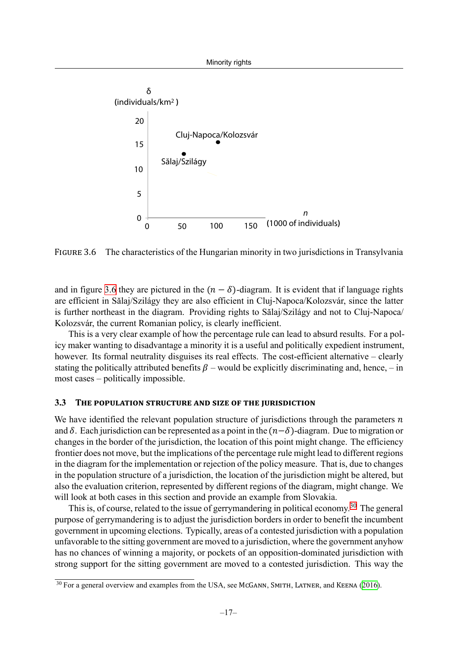<span id="page-17-1"></span>

FIGURE 3.6 The characteristics of the Hungarian minority in two jurisdictions in Transylvania

and in figure [3.6](#page-17-1) they are pictured in the  $(n - \delta)$ -diagram. It is evident that if language rights are efficient in Sălaj/Szilágy they are also efficient in Cluj-Napoca/Kolozsvár, since the latter is further northeast in the diagram. Providing rights to Sălaj/Szilágy and not to Cluj-Napoca/ Kolozsvár, the current Romanian policy, is clearly inefficient.

This is a very clear example of how the percentage rule can lead to absurd results. For a policy maker wanting to disadvantage a minority it is a useful and politically expedient instrument, however. Its formal neutrality disguises its real effects. The cost-efficient alternative – clearly stating the politically attributed benefits  $\beta$  – would be explicitly discriminating and, hence, – in most cases – politically impossible.

#### <span id="page-17-0"></span>**3.3 THE POPULATION STRUCTURE AND SIZE OF THE JURISDICTION**

We have identified the relevant population structure of jurisdictions through the parameters  $n$ and  $\delta$ . Each jurisdiction can be represented as a point in the  $(n-\delta)$ -diagram. Due to migration or changes in the border of the jurisdiction, the location of this point might change. The efficiency frontier does not move, but the implications of the percentage rule might lead to different regions in the diagram for the implementation or rejection of the policy measure. That is, due to changes in the population structure of a jurisdiction, the location of the jurisdiction might be altered, but also the evaluation criterion, represented by different regions of the diagram, might change. We will look at both cases in this section and provide an example from Slovakia.

This is, of course, related to the issue of gerrymandering in political economy.<sup>30</sup> The general purpose of gerrymandering is to adjust the jurisdiction borders in order to benefit the incumbent government in upcoming elections. Typically, areas of a contested jurisdiction with a population unfavorable to the sitting government are moved to a jurisdiction, where the government anyhow has no chances of winning a majority, or pockets of an opposition-dominated jurisdiction with strong support for the sitting government are moved to a contested jurisdiction. This way the

<span id="page-17-2"></span><sup>&</sup>lt;sup>30</sup> For a general overview and examples from the USA, see McGANN, SMITH, LATNER, and KEENA ([2016\)](#page-25-9).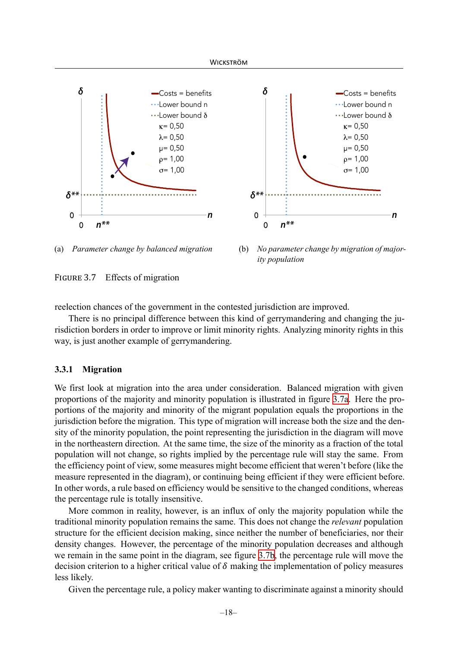<span id="page-18-0"></span>





FIGURE 3.7 Effects of migration

reelection chances of the government in the contested jurisdiction are improved.

There is no principal difference between this kind of gerrymandering and changing the jurisdiction borders in order to improve or limit minority rights. Analyzing minority rights in this way, is just another example of gerrymandering.

#### **3.3.1 Migration**

We first look at migration into the area under consideration. Balanced migration with given proportions of the majority and minority population is illustrated in figure [3.7a.](#page-18-0) Here the proportions of the majority and minority of the migrant population equals the proportions in the jurisdiction before the migration. This type of migration will increase both the size and the density of the minority population, the point representing the jurisdiction in the diagram will move in the northeastern direction. At the same time, the size of the minority as a fraction of the total population will not change, so rights implied by the percentage rule will stay the same. From the efficiency point of view, some measures might become efficient that weren't before (like the measure represented in the diagram), or continuing being efficient if they were efficient before. In other words, a rule based on efficiency would be sensitive to the changed conditions, whereas the percentage rule is totally insensitive.

More common in reality, however, is an influx of only the majority population while the traditional minority population remains the same. This does not change the *relevant* population structure for the efficient decision making, since neither the number of beneficiaries, nor their density changes. However, the percentage of the minority population decreases and although we remain in the same point in the diagram, see figure [3.7b](#page-18-0), the percentage rule will move the decision criterion to a higher critical value of  $\delta$  making the implementation of policy measures less likely.

Given the percentage rule, a policy maker wanting to discriminate against a minority should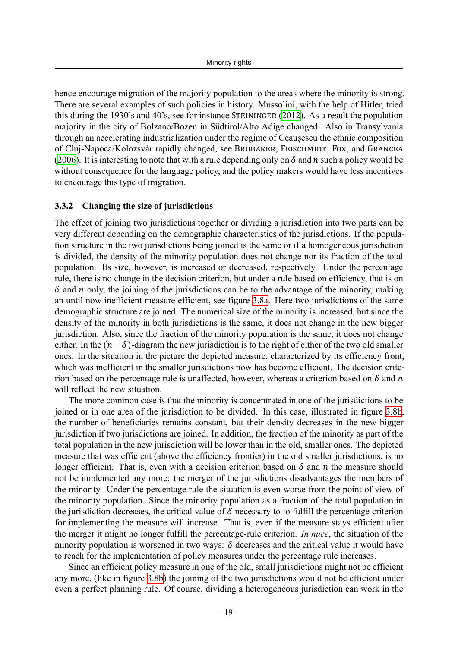hence encourage migration of the majority population to the areas where the minority is strong. There are several examples of such policies in history. Mussolini, with the help of Hitler, tried this during the 1930's and 40's, see for instance STEININGER ([2012\)](#page-25-10). As a result the population majority in the city of Bolzano/Bozen in Südtirol/Alto Adige changed. Also in Transylvania through an accelerating industrialization under the regime of Ceaușescu the ethnic composition of Cluj-Napoca/Kolozsvár rapidly changed, see BRUBAKER, FEISCHMIDT, FOX, and GRANCEA ([2006\)](#page-24-10). It is interesting to note that with a rule depending only on  $\delta$  and  $n$  such a policy would be without consequence for the language policy, and the policy makers would have less incentives to encourage this type of migration.

#### **3.3.2 Changing the size of jurisdictions**

The effect of joining two jurisdictions together or dividing a jurisdiction into two parts can be very different depending on the demographic characteristics of the jurisdictions. If the population structure in the two jurisdictions being joined is the same or if a homogeneous jurisdiction is divided, the density of the minority population does not change nor its fraction of the total population. Its size, however, is increased or decreased, respectively. Under the percentage rule, there is no change in the decision criterion, but under a rule based on efficiency, that is on  $\delta$  and  $\eta$  only, the joining of the jurisdictions can be to the advantage of the minority, making an until now inefficient measure efficient, see figure [3.8a.](#page-20-0) Here two jurisdictions of the same demographic structure are joined. The numerical size of the minority is increased, but since the density of the minority in both jurisdictions is the same, it does not change in the new bigger jurisdiction. Also, since the fraction of the minority population is the same, it does not change either. In the  $(n-\delta)$ -diagram the new jurisdiction is to the right of either of the two old smaller ones. In the situation in the picture the depicted measure, characterized by its efficiency front, which was inefficient in the smaller jurisdictions now has become efficient. The decision criterion based on the percentage rule is unaffected, however, whereas a criterion based on  $\delta$  and  $n$ will reflect the new situation.

The more common case is that the minority is concentrated in one of the jurisdictions to be joined or in one area of the jurisdiction to be divided. In this case, illustrated in figure [3.8b,](#page-20-0) the number of beneficiaries remains constant, but their density decreases in the new bigger jurisdiction if two jurisdictions are joined. In addition, the fraction of the minority as part of the total population in the new jurisdiction will be lower than in the old, smaller ones. The depicted measure that was efficient (above the efficiency frontier) in the old smaller jurisdictions, is no longer efficient. That is, even with a decision criterion based on  $\delta$  and  $n$  the measure should not be implemented any more; the merger of the jurisdictions disadvantages the members of the minority. Under the percentage rule the situation is even worse from the point of view of the minority population. Since the minority population as a fraction of the total population in the jurisdiction decreases, the critical value of  $\delta$  necessary to to fulfill the percentage criterion for implementing the measure will increase. That is, even if the measure stays efficient after the merger it might no longer fulfill the percentage-rule criterion. *In nuce*, the situation of the minority population is worsened in two ways:  $\delta$  decreases and the critical value it would have to reach for the implementation of policy measures under the percentage rule increases.

Since an efficient policy measure in one of the old, small jurisdictions might not be efficient any more, (like in figure [3.8b](#page-20-0)) the joining of the two jurisdictions would not be efficient under even a perfect planning rule. Of course, dividing a heterogeneous jurisdiction can work in the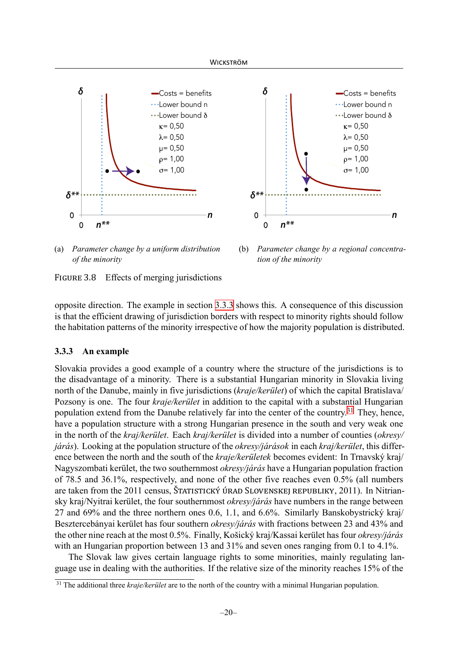<span id="page-20-0"></span>



(a) *Parameter change by a uniform distribution* (b) *Parameter change by a regional concentraof the minority tion of the minority*

FIGURE 3.8 Effects of merging jurisdictions

opposite direction. The example in section [3.3.3](#page-20-1) shows this. A consequence of this discussion is that the efficient drawing of jurisdiction borders with respect to minority rights should follow the habitation patterns of the minority irrespective of how the majority population is distributed.

# <span id="page-20-1"></span>**3.3.3 An example**

Slovakia provides a good example of a country where the structure of the jurisdictions is to the disadvantage of a minority. There is a substantial Hungarian minority in Slovakia living north of the Danube, mainly in five jurisdictions (*kraje/kerület*) of which the capital Bratislava/ Pozsony is one. The four *kraje/kerület* in addition to the capital with a substantial Hungarian population extend from the Danube relatively far into the center of the country.<sup>31</sup> They, hence, have a population structure with a strong Hungarian presence in the south and very weak one in the north of the *kraj/kerület*. Each *kraj/kerület* is divided into a number of counties (*okresy/ járás*). Looking at the population structure of the *okresy/járások* in each *kraj/kerület*, this difference between the north and the south of the *kraje/kerületek* becomes evident: In Trnavský kraj/ Nagyszombati kerület, the two southernmost *okresy/járás* have a Hungarian population fraction of 78.5 and 36.1%, respectively, and none of the other five reaches even 0.5% (all numbers are taken from the 2011 census, ŠTATISTICKÝ ÚRAD SLOVENSKEJ REPUBLIKY, 2011). In Nitriansky kraj/Nyitrai kerület, the four southernmost *okresy/járás* have numbers in the range between 27 and 69% and the three northern ones 0.6, 1.1, and 6.6%. Similarly Banskobystrický kraj/ Besztercebányai kerület has four southern *okresy/járás* with fractions between 23 and 43% and the other nine reach at the most 0.5%. Finally, Košický kraj/Kassai kerület has four *okresy/járás* with an Hungarian proportion between 13 and 31% and seven ones ranging from 0.1 to 4.1%.

The Slovak law gives certain language rights to some minorities, mainly regulating language use in dealing with the authorities. If the relative size of the minority reaches 15% of the

<span id="page-20-2"></span><sup>&</sup>lt;sup>31</sup> The additional three *kraje/kerület* are to the north of the country with a minimal Hungarian population.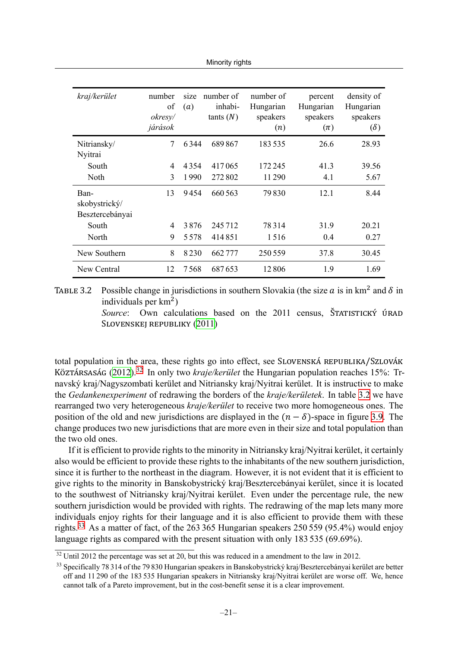Minority rights

<span id="page-21-1"></span>

| kraj/kerület                             | number<br>of<br>okresy/<br>járások | size<br>(a) | number of<br>inhabi-<br>tants(N) | number of<br>Hungarian<br>speakers<br>(n) | percent<br>Hungarian<br>speakers<br>$(\pi)$ | density of<br>Hungarian<br>speakers<br>$(\delta)$ |
|------------------------------------------|------------------------------------|-------------|----------------------------------|-------------------------------------------|---------------------------------------------|---------------------------------------------------|
| Nitriansky/<br>Nyitrai                   | 7                                  | 6344        | 689867                           | 183535                                    | 26.6                                        | 28.93                                             |
| South                                    | 4                                  | 4354        | 417065                           | 172 245                                   | 41.3                                        | 39.56                                             |
| <b>Noth</b>                              | 3                                  | 1990        | 272802                           | 11290                                     | 4.1                                         | 5.67                                              |
| Ban-<br>skobystrický/<br>Besztercebányai | 13                                 | 9454        | 660 563                          | 79830                                     | 12.1                                        | 8.44                                              |
| South                                    | 4                                  | 3876        | 245712                           | 78314                                     | 31.9                                        | 20 21                                             |
| North                                    | 9                                  | 5578        | 414851                           | 1516                                      | 0.4                                         | 0.27                                              |
| New Southern                             | 8                                  | 8230        | 662777                           | 250559                                    | 37.8                                        | 30.45                                             |
| New Central                              | 12                                 | 7568        | 687653                           | 12806                                     | 1.9                                         | 1.69                                              |

TABLE 3.2 Possible change in jurisdictions in southern Slovakia (the size  $\alpha$  is in km<sup>2</sup> and  $\delta$  in individuals per  $km<sup>2</sup>$ )

> *Source*: Own calculations based on the 2011 census, ŠTATISTICKÝ ÚRAD SLOVENSKEJ REPUBLIKY [\(2011\)](#page-25-11)

total population in the area, these rights go into effect, see SLOVENSKÁ REPUBLIKA/SZLOVÁK KÖZTÁRSASÁG [\(2012](#page-25-5))[.32](#page-21-0) In only two *kraje/kerület* the Hungarian population reaches 15%: Trnavský kraj/Nagyszombati kerület and Nitriansky kraj/Nyitrai kerület. It is instructive to make the *Gedankenexperiment* of redrawing the borders of the *kraje/kerületek*. In table [3.2](#page-21-1) we have rearranged two very heterogeneous *kraje/kerület* to receive two more homogeneous ones. The position of the old and new jurisdictions are displayed in the  $(n - \delta)$ -space in figure [3.9.](#page-22-0) The change produces two new jurisdictions that are more even in their size and total population than the two old ones.

If it is efficient to provide rights to the minority in Nitriansky kraj/Nyitrai kerület, it certainly also would be efficient to provide these rights to the inhabitants of the new southern jurisdiction, since it is further to the northeast in the diagram. However, it is not evident that it is efficient to give rights to the minority in Banskobystrický kraj/Besztercebányai kerület, since it is located to the southwest of Nitriansky kraj/Nyitrai kerület. Even under the percentage rule, the new southern jurisdiction would be provided with rights. The redrawing of the map lets many more individuals enjoy rights for their language and it is also efficient to provide them with these rights.<sup>33</sup> As a matter of fact, of the 263 365 Hungarian speakers 250 559 (95.4%) would enjoy language rights as compared with the present situation with only 183 535 (69.69%).

<span id="page-21-0"></span> $32$  Until 2012 the percentage was set at 20, but this was reduced in a amendment to the law in 2012.

<span id="page-21-2"></span><sup>&</sup>lt;sup>33</sup> Specifically 78 314 of the 79 830 Hungarian speakers in Banskobystrický kraj/Besztercebányai kerület are better off and 11 290 of the 183 535 Hungarian speakers in Nitriansky kraj/Nyitrai kerület are worse off. We, hence cannot talk of a Pareto improvement, but in the cost-benefit sense it is a clear improvement.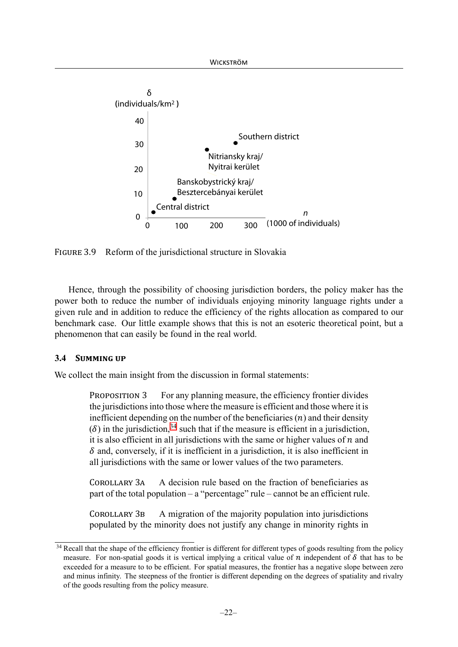<span id="page-22-0"></span>

FIGURE 3.9 Reform of the jurisdictional structure in Slovakia

Hence, through the possibility of choosing jurisdiction borders, the policy maker has the power both to reduce the number of individuals enjoying minority language rights under a given rule and in addition to reduce the efficiency of the rights allocation as compared to our benchmark case. Our little example shows that this is not an esoteric theoretical point, but a phenomenon that can easily be found in the real world.

# **3.4 SUMMING UP**

We collect the main insight from the discussion in formal statements:

PROPOSITION 3 For any planning measure, the efficiency frontier divides the jurisdictions into those where the measure is efficient and those where it is inefficient depending on the number of the beneficiaries  $(n)$  and their density ( $\delta$ ) in the jurisdiction,<sup>34</sup> such that if the measure is efficient in a jurisdiction, it is also efficient in all jurisdictions with the same or higher values of  $n$  and  $\delta$  and, conversely, if it is inefficient in a jurisdiction, it is also inefficient in all jurisdictions with the same or lower values of the two parameters.

COROLLARY 3A A decision rule based on the fraction of beneficiaries as part of the total population – a "percentage" rule – cannot be an efficient rule.

COROLLARY 3B A migration of the majority population into jurisdictions populated by the minority does not justify any change in minority rights in

<sup>&</sup>lt;sup>34</sup> Recall that the shape of the efficiency frontier is different for different types of goods resulting from the policy measure. For non-spatial goods it is vertical implying a critical value of  $n$  independent of  $\delta$  that has to be exceeded for a measure to to be efficient. For spatial measures, the frontier has a negative slope between zero and minus infinity. The steepness of the frontier is different depending on the degrees of spatiality and rivalry of the goods resulting from the policy measure.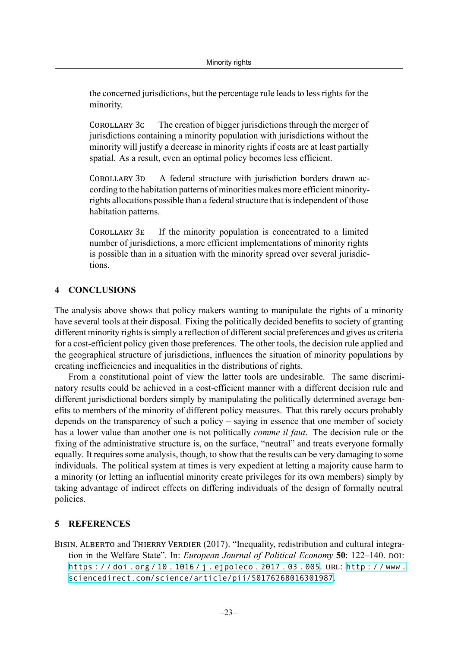the concerned jurisdictions, but the percentage rule leads to less rights for the minority.

COROLLARY 3C The creation of bigger jurisdictions through the merger of jurisdictions containing a minority population with jurisdictions without the minority will justify a decrease in minority rights if costs are at least partially spatial. As a result, even an optimal policy becomes less efficient.

COROLLARY 3D A federal structure with jurisdiction borders drawn according to the habitation patterns of minorities makes more efficient minorityrights allocations possible than a federal structure that is independent of those habitation patterns.

COROLLARY 3E If the minority population is concentrated to a limited number of jurisdictions, a more efficient implementations of minority rights is possible than in a situation with the minority spread over several jurisdictions.

# <span id="page-23-1"></span>**4 CONCLUSIONS**

The analysis above shows that policy makers wanting to manipulate the rights of a minority have several tools at their disposal. Fixing the politically decided benefits to society of granting different minority rights is simply a reflection of different social preferences and gives us criteria for a cost-efficient policy given those preferences. The other tools, the decision rule applied and the geographical structure of jurisdictions, influences the situation of minority populations by creating inefficiencies and inequalities in the distributions of rights.

From a constitutional point of view the latter tools are undesirable. The same discriminatory results could be achieved in a cost-efficient manner with a different decision rule and different jurisdictional borders simply by manipulating the politically determined average benefits to members of the minority of different policy measures. That this rarely occurs probably depends on the transparency of such a policy – saying in essence that one member of society has a lower value than another one is not politically *comme il faut*. The decision rule or the fixing of the administrative structure is, on the surface, "neutral" and treats everyone formally equally. It requires some analysis, though, to show that the results can be very damaging to some individuals. The political system at times is very expedient at letting a majority cause harm to a minority (or letting an influential minority create privileges for its own members) simply by taking advantage of indirect effects on differing individuals of the design of formally neutral policies.

# **5 REFERENCES**

<span id="page-23-0"></span>BISIN, ALBERTO and THIERRY VERDIER (2017). "Inequality, redistribution and cultural integration in the Welfare State". In: *European Journal of Political Economy* **50**: 122–140. DOI: https : / / doi . org / 10 . 1016 / j [. ejpoleco](https://doi.org/https://doi.org/10.1016/j.ejpoleco.2017.03.005) . 2017 . 03 . 005. URL: http : [/ / www](http://www.sciencedirect.com/science/article/pii/S0176268016301987) . [sciencedirect.com/science/article/pii/S0176268016301987](http://www.sciencedirect.com/science/article/pii/S0176268016301987).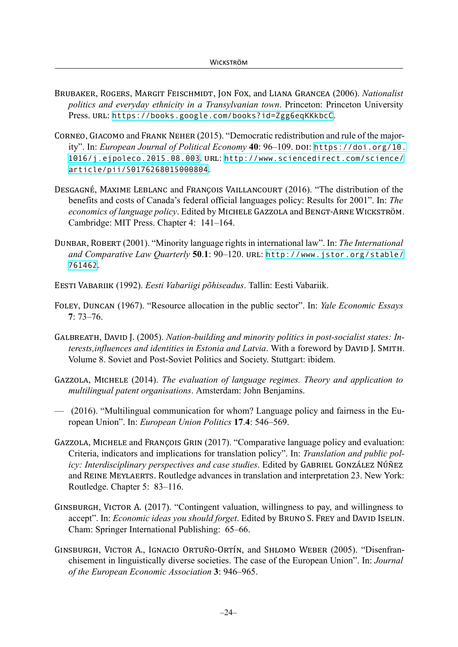- <span id="page-24-10"></span>BRUBAKER, ROGERS, MARGIT FEISCHMIDT, JON FOX, and LIANA GRANCEA (2006). *Nationalist politics and everyday ethnicity in a Transylvanian town*. Princeton: Princeton University Press. URL: <https://books.google.com/books?id=Zgg6eqKKkbcC>.
- <span id="page-24-6"></span>CORNEO, GIACOMO and FRANK NEHER (2015). "Democratic redistribution and rule of the majority". In: *European Journal of Political Economy* **40**: 96–109. DOI: [https://doi.org/10.](https://doi.org/https://doi.org/10.1016/j.ejpoleco.2015.08.003) [1016/j.ejpoleco.2015.08.003](https://doi.org/https://doi.org/10.1016/j.ejpoleco.2015.08.003). URL: [http://www.sciencedirect.com/science/](http://www.sciencedirect.com/science/article/pii/S0176268015000804) [article/pii/S0176268015000804](http://www.sciencedirect.com/science/article/pii/S0176268015000804).
- <span id="page-24-0"></span>DESGAGNÉ, MAXIME LEBLANC and FRANÇOIS VAILLANCOURT (2016). "The distribution of the benefits and costs of Canada's federal official languages policy: Results for 2001". In: *The economics of language policy*. Edited by MICHELE GAZZOLA and BENGT‐ARNE WICKSTRÖM. Cambridge: MIT Press. Chapter 4: 141–164.
- <span id="page-24-8"></span>DUNBAR, ROBERT (2001). "Minority language rights in international law". In: *The International and Comparative Law Quarterly* **50**.**1**: 90–120. URL: [http://www.jstor.org/stable/](http://www.jstor.org/stable/761462) [761462](http://www.jstor.org/stable/761462).
- <span id="page-24-9"></span>EESTI VABARIIK (1992). *Eesti Vabariigi põhiseadus*. Tallin: Eesti Vabariik.
- <span id="page-24-1"></span>FOLEY, DUNCAN (1967). "Resource allocation in the public sector". In: *Yale Economic Essays* **7**: 73–76.
- <span id="page-24-7"></span>GALBREATH, DAVID J. (2005). *Nation-building and minority politics in post-socialist states: Interests,influences and identities in Estonia and Latvia*. With a foreword by DAVID J. SMITH. Volume 8. Soviet and Post-Soviet Politics and Society. Stuttgart: ibidem.
- <span id="page-24-4"></span>GAZZOLA, MICHELE (2014). *The evaluation of language regimes. Theory and application to multilingual patent organisations*. Amsterdam: John Benjamins.
- <span id="page-24-3"></span> $(2016)$ . "Multilingual communication for whom? Language policy and fairness in the European Union". In: *European Union Politics* **17**.**4**: 546–569.
- <span id="page-24-5"></span>GAZZOLA, MICHELE and FRANÇOIS GRIN (2017). "Comparative language policy and evaluation: Criteria, indicators and implications for translation policy". In: *Translation and public policy: Interdisciplinary perspectives and case studies*. Edited by GABRIEL GONZÁLEZ NÚÑEZ and REINE MEYLAERTS. Routledge advances in translation and interpretation 23. New York: Routledge. Chapter 5: 83–116.
- GINSBURGH, VICTOR A. (2017). "Contingent valuation, willingness to pay, and willingness to accept". In: *Economic ideas you should forget*. Edited by BRUNO S. FREY and DAVID ISELIN. Cham: Springer International Publishing: 65–66.
- <span id="page-24-2"></span>GINSBURGH, VICTOR A., IGNACIO ORTUÑO‐ORTÍN, and SHLOMO WEBER (2005). "Disenfranchisement in linguistically diverse societies. The case of the European Union". In: *Journal of the European Economic Association* **3**: 946–965.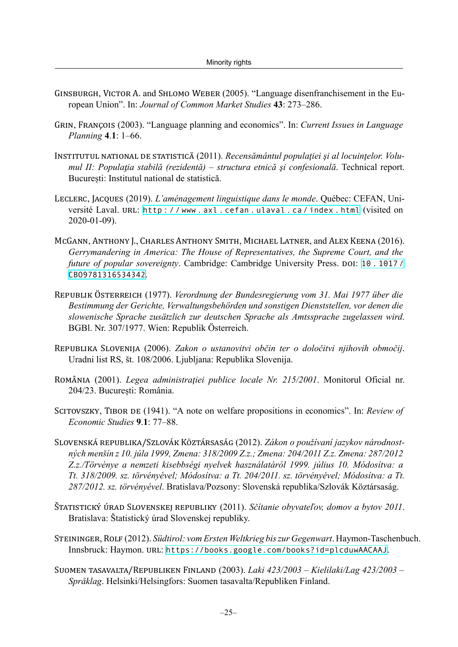- <span id="page-25-0"></span>GINSBURGH, VICTOR A. and SHLOMO WEBER (2005). "Language disenfranchisement in the European Union". In: *Journal of Common Market Studies* **43**: 273–286.
- <span id="page-25-1"></span>GRIN, FRANÇOIS (2003). "Language planning and economics". In: *Current Issues in Language Planning* **4**.**1**: 1–66.
- <span id="page-25-8"></span>INSTITUTUL NATIONAL DE STATISTICĂ (2011). *Recensământul populaţiei şi al locuinţelor. Volumul II: Populaƫia stabilă (rezidentă) – structura etnică şi confesională*. Technical report. București: Institutul national de statistică.
- <span id="page-25-2"></span>LECLERC, JACQUES (2019). *L'aménagement linguistique dans le monde*. Québec: CEFAN, Université Laval. URL: http : / / www . axl . cefan . [ulaval](http://www.axl.cefan.ulaval.ca/index.html) . ca / index . html (visited on 2020-01-09).
- <span id="page-25-9"></span>MCGANN, ANTHONY J., CHARLES ANTHONY SMITH, MICHAEL LATNER, and ALEX KEENA (2016). *Gerrymandering in America: The House of Representatives, the Supreme Court, and the future of popular sovereignty*. Cambridge: Cambridge University Press. DOI: 10 . [1017](https://doi.org/10.1017/CBO9781316534342) / [CBO9781316534342](https://doi.org/10.1017/CBO9781316534342).
- <span id="page-25-3"></span>REPUBLIK ÖSTERREICH (1977). *Verordnung der Bundesregierung vom 31. Mai 1977 über die Bestimmung der Gerichte, Verwaltungsbehörden und sonstigen Dienststellen, vor denen die slowenische Sprache zusätzlich zur deutschen Sprache als Amtssprache zugelassen wird*. BGBl. Nr. 307/1977. Wien: Republik Österreich.
- <span id="page-25-4"></span>REPUBLIKA SLOVENIJA (2006). *Zakon o ustanovitvi občin ter o določitvi njihovih območij*. Uradni list RS, št. 108/2006. Ljubljana: Republika Slovenija.
- <span id="page-25-6"></span>ROMÂNIA (2001). *Legea administraţiei publice locale Nr. 215/2001*. Monitorul Oficial nr. 204/23. București: România.
- SCITOVSZKY, TIBOR DE (1941). "A note on welfare propositions in economics". In: *Review of Economic Studies* **9**.**1**: 77–88.
- <span id="page-25-5"></span>SLOVENSKÁ REPUBLIKA/SZLOVÁK KÖZTÁRSASÁG (2012). *Zákon o používaní jazykov národnostných menšín z 10. júla 1999, Zmena: 318/2009 Z.z.; Zmena: 204/2011 Z.z. Zmena: 287/2012 Z.z./Törvénye a nemzeti kisebbségi nyelvek használatáról 1999. július 10. Módosítva: a Tt. 318/2009. sz. törvényével; Módosítva: a Tt. 204/2011. sz. törvényével; Módosítva: a Tt. 287/2012. sz. törvényével*. Bratislava/Pozsony: Slovenská republika/Szlovák Köztársaság.
- <span id="page-25-11"></span>ŠTATISTICKÝ ÚRAD SLOVENSKEJ REPUBLIKY (2011). *Sčítanie obyvateľov, domov a bytov 2011*. Bratislava: Štatistický úrad Slovenskej republiky.
- <span id="page-25-10"></span>STEININGER, ROLF (2012). *Südtirol: vom Ersten Weltkrieg biszur Gegenwart*. Haymon-Taschenbuch. Innsbruck: Haymon. URL: <https://books.google.com/books?id=plcduwAACAAJ>.
- <span id="page-25-7"></span>SUOMEN TASAVALTA/REPUBLIKEN FINLAND (2003). *Laki 423/2003 – Kielilaki/Lag 423/2003 – Språklag*. Helsinki/Helsingfors: Suomen tasavalta/Republiken Finland.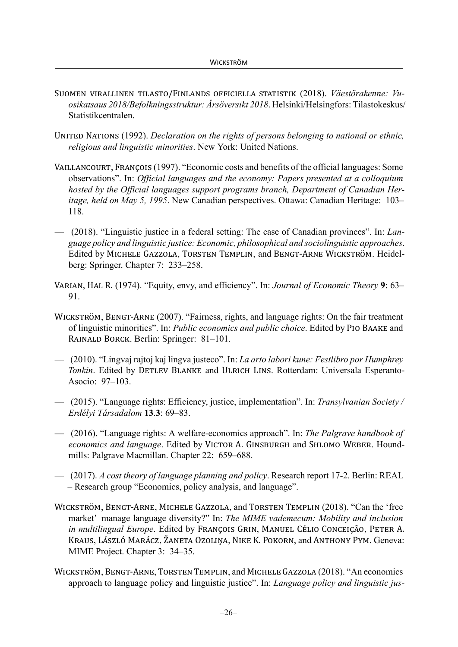- <span id="page-26-10"></span>SUOMEN VIRALLINEN TILASTO/FINLANDS OFFICIELLA STATISTIK (2018). *Väestörakenne: Vuosikatsaus 2018/Befolkningsstruktur: Årsöversikt 2018*. Helsinki/Helsingfors: Tilastokeskus/ Statistikcentralen.
- UNITED NATIONS (1992). *Declaration on the rights of persons belonging to national or ethnic, religious and linguistic minorities*. New York: United Nations.
- <span id="page-26-6"></span>VAILLANCOURT, FRANÇOIS (1997). "Economic costs and benefits of the official languages: Some observations". In: *Official languages and the economy: Papers presented at a colloquium hosted by the Official languages support programs branch, Department of Canadian Heritage, held on May 5, 1995*. New Canadian perspectives. Ottawa: Canadian Heritage: 103– 118.
- <span id="page-26-7"></span>— (2018). "Linguistic justice in a federal setting: The case of Canadian provinces". In: *Language policy and linguistic justice: Economic, philosophical and sociolinguistic approaches*. Edited by MICHELE GAZZOLA, TORSTEN TEMPLIN, and BENGT‐ARNE WICKSTRÖM. Heidelberg: Springer. Chapter 7: 233–258.
- <span id="page-26-2"></span>VARIAN, HAL R. (1974). "Equity, envy, and efficiency". In: *Journal of Economic Theory* **9**: 63– 91.
- <span id="page-26-3"></span>WICKSTRÖM, BENGT‐ARNE (2007). "Fairness, rights, and language rights: On the fair treatment of linguistic minorities". In: *Public economics and public choice*. Edited by PIO BAAKE and RAINALD BORCK. Berlin: Springer: 81–101.
- <span id="page-26-4"></span>— (2010). "Lingvaj rajtoj kaj lingva justeco". In: *La arto labori kune: Festlibro por Humphrey Tonkin*. Edited by DETLEV BLANKE and ULRICH LINS. Rotterdam: Universala Esperanto-Asocio: 97–103.
- <span id="page-26-5"></span>— (2015). "Language rights: Efficiency, justice, implementation". In: *Transylvanian Society / Erdélyi Társadalom* **13**.**3**: 69–83.
- <span id="page-26-8"></span>— (2016). "Language rights: A welfare-economics approach". In: *The Palgrave handbook of economics and language*. Edited by VICTOR A. GINSBURGH and SHLOMO WEBER. Houndmills: Palgrave Macmillan. Chapter 22: 659–688.
- <span id="page-26-9"></span>— (2017). *A cost theory of language planning and policy*. Research report 17-2. Berlin: REAL – Research group "Economics, policy analysis, and language".
- <span id="page-26-1"></span>WICKSTRÖM, BENGT‐ARNE, MICHELE GAZZOLA, and TORSTEN TEMPLIN (2018). "Can the 'free market' manage language diversity?" In: *The MIME vademecum: Mobility and inclusion in multilingual Europe*. Edited by FRANÇOIS GRIN, MANUEL CÉLIO CONCEIÇÃO, PETER A. KRAUS, LÁSZLÓ MARÁCZ, ŽANETA OZOLIŅA, NIKE K. POKORN, and ANTHONY PYM. Geneva: MIME Project. Chapter 3: 34–35.
- <span id="page-26-0"></span>WICKSTRÖM, BENGT‐ARNE, TORSTEN TEMPLIN, and MICHELE GAZZOLA (2018). "An economics approach to language policy and linguistic justice". In: *Language policy and linguistic jus-*